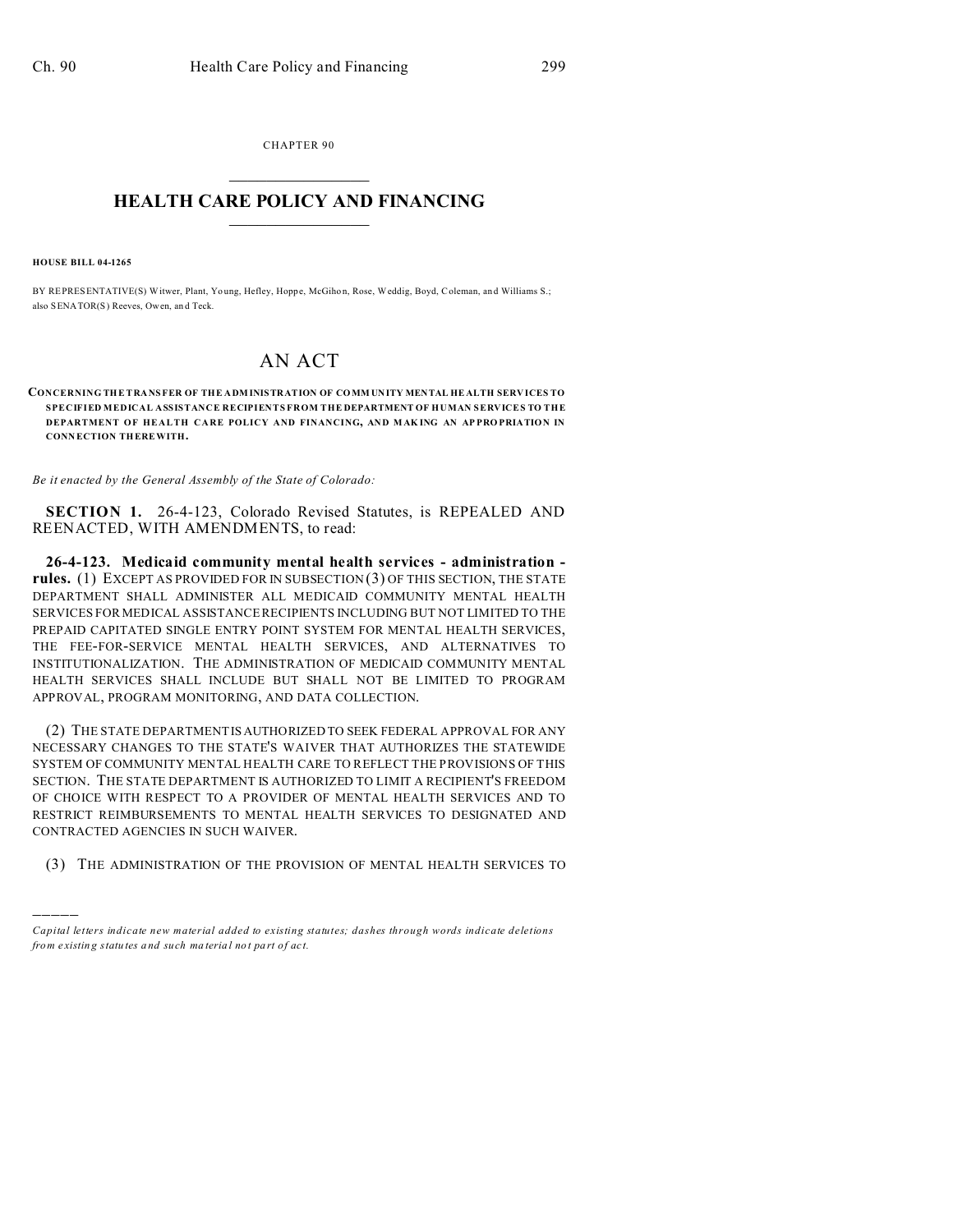CHAPTER 90  $\overline{\phantom{a}}$  , where  $\overline{\phantom{a}}$ 

## **HEALTH CARE POLICY AND FINANCING**  $\_$   $\_$   $\_$   $\_$   $\_$   $\_$   $\_$   $\_$

**HOUSE BILL 04-1265**

)))))

BY REPRESENTATIVE(S) Witwer, Plant, Yo ung, Hefley, Hoppe, McGihon, Rose, Weddig, Boyd, Coleman, an d Williams S.; also SENATOR(S) Reeves, Owen, an d Teck.

## AN ACT

**CONCERNING THE TRANSFER OF THE A DMINISTRATION OF CO MM UNITY MENTAL HE ALTH SERVICES TO SPECIFIED MEDICAL ASSISTANCE RECIPIENTS FROM THE DEPARTMENT OF HUMAN SERVICES TO THE DEPARTMENT OF HEALTH CARE POLICY AND FINANCING, AND MAK ING AN AP PRO PRIATION IN CONN ECTION THEREWITH.**

*Be it enacted by the General Assembly of the State of Colorado:*

**SECTION 1.** 26-4-123, Colorado Revised Statutes, is REPEALED AND REENACTED, WITH AMENDMENTS, to read:

**26-4-123. Medicaid community mental health services - administration rules.** (1) EXCEPT AS PROVIDED FOR IN SUBSECTION (3) OF THIS SECTION, THE STATE DEPARTMENT SHALL ADMINISTER ALL MEDICAID COMMUNITY MENTAL HEALTH SERVICES FOR MEDICAL ASSISTANCE RECIPIENTS INCLUDING BUT NOT LIMITED TO THE PREPAID CAPITATED SINGLE ENTRY POINT SYSTEM FOR MENTAL HEALTH SERVICES, THE FEE-FOR-SERVICE MENTAL HEALTH SERVICES, AND ALTERNATIVES TO INSTITUTIONALIZATION. THE ADMINISTRATION OF MEDICAID COMMUNITY MENTAL HEALTH SERVICES SHALL INCLUDE BUT SHALL NOT BE LIMITED TO PROGRAM APPROVAL, PROGRAM MONITORING, AND DATA COLLECTION.

(2) THE STATE DEPARTMENT IS AUTHORIZED TO SEEK FEDERAL APPROVAL FOR ANY NECESSARY CHANGES TO THE STATE'S WAIVER THAT AUTHORIZES THE STATEWIDE SYSTEM OF COMMUNITY MENTAL HEALTH CARE TO REFLECT THE PROVISIONS OF THIS SECTION. THE STATE DEPARTMENT IS AUTHORIZED TO LIMIT A RECIPIENT'S FREEDOM OF CHOICE WITH RESPECT TO A PROVIDER OF MENTAL HEALTH SERVICES AND TO RESTRICT REIMBURSEMENTS TO MENTAL HEALTH SERVICES TO DESIGNATED AND CONTRACTED AGENCIES IN SUCH WAIVER.

(3) THE ADMINISTRATION OF THE PROVISION OF MENTAL HEALTH SERVICES TO

*Capital letters indicate new material added to existing statutes; dashes through words indicate deletions from e xistin g statu tes a nd such ma teria l no t pa rt of ac t.*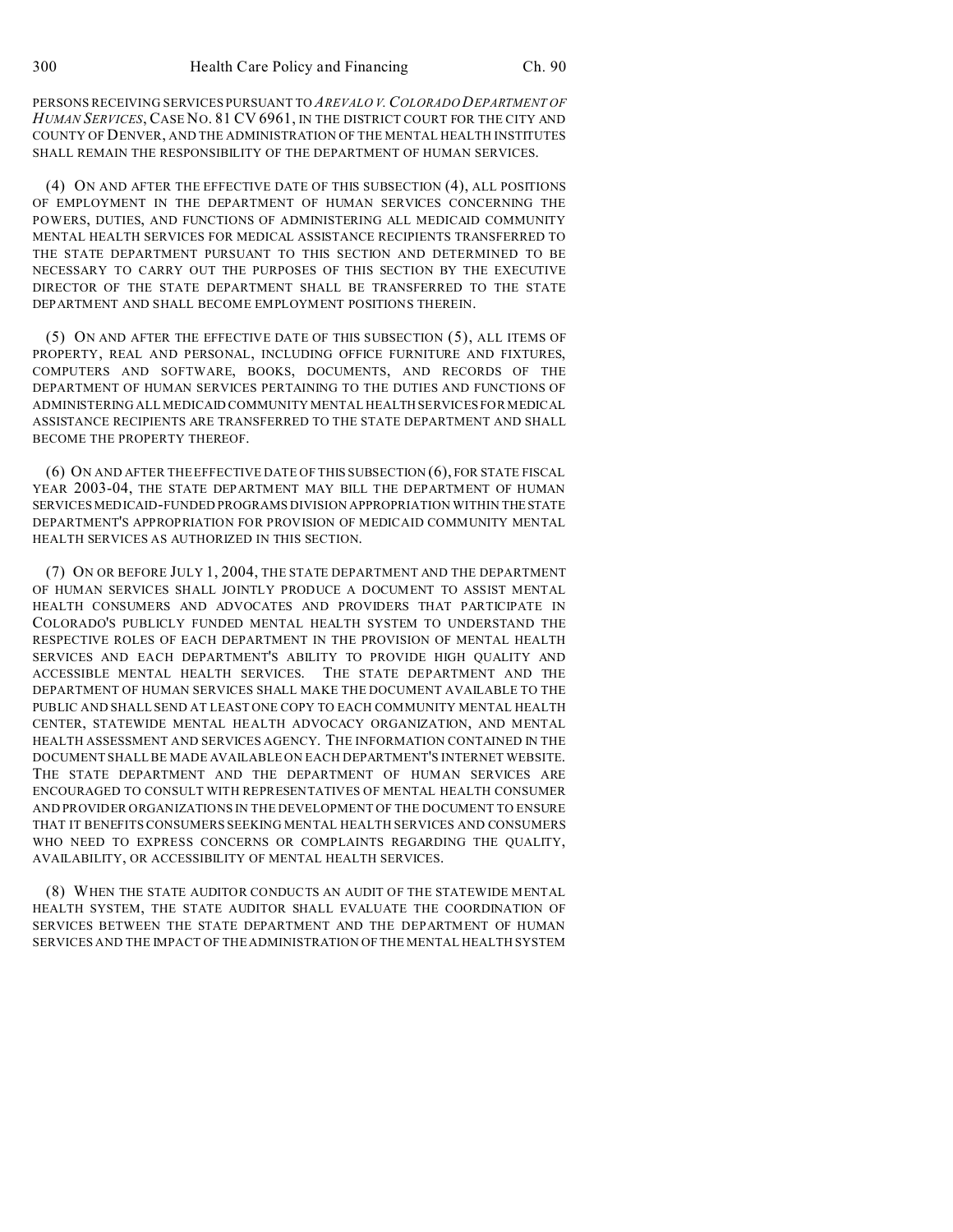PERSONS RECEIVING SERVICES PURSUANT TO *AREVALO V.COLORADO DEPARTMENT OF HUMAN SERVICES*, CASE NO. 81 CV 6961, IN THE DISTRICT COURT FOR THE CITY AND COUNTY OF DENVER, AND THE ADMINISTRATION OF THE MENTAL HEALTH INSTITUTES SHALL REMAIN THE RESPONSIBILITY OF THE DEPARTMENT OF HUMAN SERVICES.

(4) ON AND AFTER THE EFFECTIVE DATE OF THIS SUBSECTION (4), ALL POSITIONS OF EMPLOYMENT IN THE DEPARTMENT OF HUMAN SERVICES CONCERNING THE POWERS, DUTIES, AND FUNCTIONS OF ADMINISTERING ALL MEDICAID COMMUNITY MENTAL HEALTH SERVICES FOR MEDICAL ASSISTANCE RECIPIENTS TRANSFERRED TO THE STATE DEPARTMENT PURSUANT TO THIS SECTION AND DETERMINED TO BE NECESSARY TO CARRY OUT THE PURPOSES OF THIS SECTION BY THE EXECUTIVE DIRECTOR OF THE STATE DEPARTMENT SHALL BE TRANSFERRED TO THE STATE DEPARTMENT AND SHALL BECOME EMPLOYMENT POSITIONS THEREIN.

(5) ON AND AFTER THE EFFECTIVE DATE OF THIS SUBSECTION (5), ALL ITEMS OF PROPERTY, REAL AND PERSONAL, INCLUDING OFFICE FURNITURE AND FIXTURES, COMPUTERS AND SOFTWARE, BOOKS, DOCUMENTS, AND RECORDS OF THE DEPARTMENT OF HUMAN SERVICES PERTAINING TO THE DUTIES AND FUNCTIONS OF ADMINISTERING ALL MEDICAID COMMUNITY MENTAL HEALTH SERVICES FOR MEDICAL ASSISTANCE RECIPIENTS ARE TRANSFERRED TO THE STATE DEPARTMENT AND SHALL BECOME THE PROPERTY THEREOF.

(6) ON AND AFTER THE EFFECTIVE DATE OF THIS SUBSECTION (6), FOR STATE FISCAL YEAR 2003-04, THE STATE DEPARTMENT MAY BILL THE DEPARTMENT OF HUMAN SERVICES MEDICAID-FUNDED PROGRAMS DIVISION APPROPRIATION WITHIN THESTATE DEPARTMENT'S APPROPRIATION FOR PROVISION OF MEDICAID COMMUNITY MENTAL HEALTH SERVICES AS AUTHORIZED IN THIS SECTION.

(7) ON OR BEFORE JULY 1, 2004, THE STATE DEPARTMENT AND THE DEPARTMENT OF HUMAN SERVICES SHALL JOINTLY PRODUCE A DOCUMENT TO ASSIST MENTAL HEALTH CONSUMERS AND ADVOCATES AND PROVIDERS THAT PARTICIPATE IN COLORADO'S PUBLICLY FUNDED MENTAL HEALTH SYSTEM TO UNDERSTAND THE RESPECTIVE ROLES OF EACH DEPARTMENT IN THE PROVISION OF MENTAL HEALTH SERVICES AND EACH DEPARTMENT'S ABILITY TO PROVIDE HIGH QUALITY AND ACCESSIBLE MENTAL HEALTH SERVICES. THE STATE DEPARTMENT AND THE DEPARTMENT OF HUMAN SERVICES SHALL MAKE THE DOCUMENT AVAILABLE TO THE PUBLIC AND SHALL SEND AT LEAST ONE COPY TO EACH COMMUNITY MENTAL HEALTH CENTER, STATEWIDE MENTAL HEALTH ADVOCACY ORGANIZATION, AND MENTAL HEALTH ASSESSMENT AND SERVICES AGENCY. THE INFORMATION CONTAINED IN THE DOCUMENT SHALL BE MADE AVAILABLE ON EACH DEPARTMENT'S INTERNET WEBSITE. THE STATE DEPARTMENT AND THE DEPARTMENT OF HUMAN SERVICES ARE ENCOURAGED TO CONSULT WITH REPRESENTATIVES OF MENTAL HEALTH CONSUMER AND PROVIDER ORGANIZATIONS IN THE DEVELOPMENT OF THE DOCUMENT TO ENSURE THAT IT BENEFITS CONSUMERS SEEKING MENTAL HEALTH SERVICES AND CONSUMERS WHO NEED TO EXPRESS CONCERNS OR COMPLAINTS REGARDING THE QUALITY, AVAILABILITY, OR ACCESSIBILITY OF MENTAL HEALTH SERVICES.

(8) WHEN THE STATE AUDITOR CONDUCTS AN AUDIT OF THE STATEWIDE MENTAL HEALTH SYSTEM, THE STATE AUDITOR SHALL EVALUATE THE COORDINATION OF SERVICES BETWEEN THE STATE DEPARTMENT AND THE DEPARTMENT OF HUMAN SERVICES AND THE IMPACT OF THE ADMINISTRATION OF THE MENTAL HEALTH SYSTEM